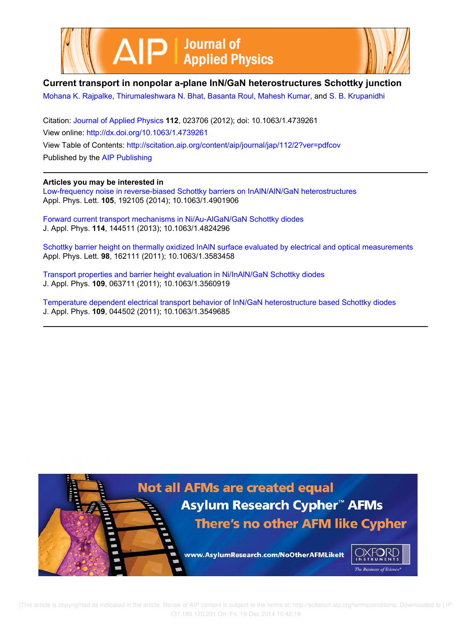



## **Current transport in nonpolar a-plane InN/GaN heterostructures Schottky junction**

Mohana K. Rajpalke, Thirumaleshwara N. Bhat, Basanta Roul, Mahesh Kumar, and S. B. Krupanidhi

Citation: Journal of Applied Physics **112**, 023706 (2012); doi: 10.1063/1.4739261 View online: http://dx.doi.org/10.1063/1.4739261 View Table of Contents: http://scitation.aip.org/content/aip/journal/jap/112/2?ver=pdfcov Published by the AIP Publishing

### **Articles you may be interested in**

Low-frequency noise in reverse-biased Schottky barriers on InAlN/AlN/GaN heterostructures Appl. Phys. Lett. **105**, 192105 (2014); 10.1063/1.4901906

Forward current transport mechanisms in Ni/Au-AlGaN/GaN Schottky diodes J. Appl. Phys. **114**, 144511 (2013); 10.1063/1.4824296

Schottky barrier height on thermally oxidized InAlN surface evaluated by electrical and optical measurements Appl. Phys. Lett. **98**, 162111 (2011); 10.1063/1.3583458

Transport properties and barrier height evaluation in Ni/InAlN/GaN Schottky diodes J. Appl. Phys. **109**, 063711 (2011); 10.1063/1.3560919

Temperature dependent electrical transport behavior of InN/GaN heterostructure based Schottky diodes J. Appl. Phys. **109**, 044502 (2011); 10.1063/1.3549685

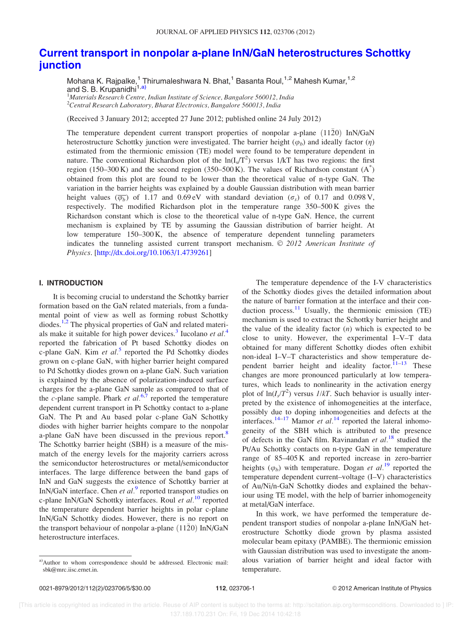# Current transport in nonpolar a-plane InN/GaN heterostructures Schottky junction

Mohana K. Rajpalke,<sup>1</sup> Thirumaleshwara N. Bhat,<sup>1</sup> Basanta Roul,<sup>1,2</sup> Mahesh Kumar,<sup>1,2</sup> and S. B. Krupanidhi<sup>1,a)</sup>

 $1$ Materials Research Centre, Indian Institute of Science, Bangalore 560012, India  $^{2}$ Central Research Laboratory, Bharat Electronics, Bangalore 560013, India

(Received 3 January 2012; accepted 27 June 2012; published online 24 July 2012)

The temperature dependent current transport properties of nonpolar a-plane  $(11\overline{2}0)$  InN/GaN heterostructure Schottky junction were investigated. The barrier height  $(\varphi_b)$  and ideally factor  $(\eta)$ estimated from the thermionic emission (TE) model were found to be temperature dependent in nature. The conventional Richardson plot of the  $ln(I_s/T^2)$  versus 1/kT has two regions: the first region (150–300 K) and the second region (350–500 K). The values of Richardson constant  $(A^*)$ obtained from this plot are found to be lower than the theoretical value of n-type GaN. The variation in the barrier heights was explained by a double Gaussian distribution with mean barrier height values  $(\overline{\varphi_b})$  of 1.17 and 0.69 eV with standard deviation  $(\sigma_s)$  of 0.17 and 0.098 V, respectively. The modified Richardson plot in the temperature range 350–500 K gives the Richardson constant which is close to the theoretical value of n-type GaN. Hence, the current mechanism is explained by TE by assuming the Gaussian distribution of barrier height. At low temperature 150–300 K, the absence of temperature dependent tunneling parameters indicates the tunneling assisted current transport mechanism.  $\oslash$  2012 American Institute of Physics. [http://dx.doi.org/10.1063/1.4739261]

#### I. INTRODUCTION

It is becoming crucial to understand the Schottky barrier formation based on the GaN related materials, from a fundamental point of view as well as forming robust Schottky diodes.<sup>1,2</sup> The physical properties of GaN and related materials make it suitable for high power devices.<sup>3</sup> Iucolano et  $al$ .<sup>4</sup> reported the fabrication of Pt based Schottky diodes on c-plane GaN. Kim et  $al$ <sup>5</sup> reported the Pd Schottky diodes grown on c-plane GaN, with higher barrier height compared to Pd Schottky diodes grown on a-plane GaN. Such variation is explained by the absence of polarization-induced surface charges for the a-plane GaN sample as compared to that of the c-plane sample. Phark et  $al^{6,7}$  reported the temperature dependent current transport in Pt Schottky contact to a-plane GaN. The Pt and Au based polar c-plane GaN Schottky diodes with higher barrier heights compare to the nonpolar a-plane GaN have been discussed in the previous report.<sup>8</sup> The Schottky barrier height (SBH) is a measure of the mismatch of the energy levels for the majority carriers across the semiconductor heterostructures or metal/semiconductor interfaces. The large difference between the band gaps of InN and GaN suggests the existence of Schottky barrier at InN/GaN interface. Chen et  $al$ .<sup>9</sup> reported transport studies on c-plane InN/GaN Schottky interfaces. Roul et  $al$ .<sup>10</sup> reported the temperature dependent barrier heights in polar c-plane InN/GaN Schottky diodes. However, there is no report on the transport behaviour of nonpolar a-plane  $(11\overline{2}0)$  InN/GaN heterostructure interfaces.

The temperature dependence of the I-V characteristics of the Schottky diodes gives the detailed information about the nature of barrier formation at the interface and their conduction process.<sup>11</sup> Usually, the thermionic emission (TE) mechanism is used to extract the Schottky barrier height and the value of the ideality factor  $(n)$  which is expected to be close to unity. However, the experimental I–V–T data obtained for many different Schottky diodes often exhibit non-ideal I–V–T characteristics and show temperature dependent barrier height and ideality factor. $11-13$  These changes are more pronounced particularly at low temperatures, which leads to nonlinearity in the activation energy plot of  $\ln(I_s/T^2)$  versus  $I/kT$ . Such behavior is usually interpreted by the existence of inhomogeneities at the interface, possibly due to doping inhomogeneities and defects at the interfaces.<sup>14–17</sup> Mamor et  $al.^{14}$  reported the lateral inhomogeneity of the SBH which is attributed to the presence of defects in the GaN film. Ravinandan et  $al.^{18}$  studied the Pt/Au Schottky contacts on n-type GaN in the temperature range of 85–405 K and reported increase in zero-barrier heights  $(\varphi_b)$  with temperature. Dogan et al.<sup>19</sup> reported the temperature dependent current–voltage (I–V) characteristics of Au/Ni/n-GaN Schottky diodes and explained the behaviour using TE model, with the help of barrier inhomogeneity at metal/GaN interface.

In this work, we have performed the temperature dependent transport studies of nonpolar a-plane InN/GaN heterostructure Schottky diode grown by plasma assisted molecular beam epitaxy (PAMBE). The thermionic emission with Gaussian distribution was used to investigate the anomalous variation of barrier height and ideal factor with temperature.

a)Author to whom correspondence should be addressed. Electronic mail: sbk@mrc.iisc.ernet.in.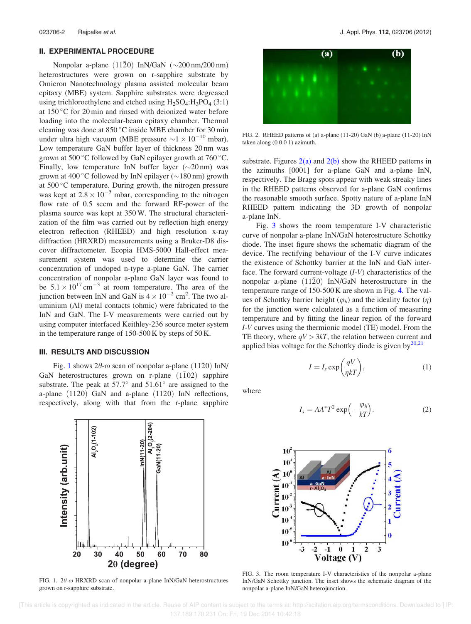#### II. EXPERIMENTAL PROCEDURE

Nonpolar a-plane  $(11\bar{2}0)$  InN/GaN  $(\sim 200 \text{ nm}/200 \text{ nm})$ heterostructures were grown on r-sapphire substrate by Omicron Nanotechnology plasma assisted molecular beam epitaxy (MBE) system. Sapphire substrates were degreased using trichloroethylene and etched using  $H_2SO_4$ : $H_3PO_4$  (3:1) at  $150^{\circ}$ C for 20 min and rinsed with deionized water before loading into the molecular-beam epitaxy chamber. Thermal cleaning was done at  $850^{\circ}$ C inside MBE chamber for 30 min under ultra high vacuum (MBE pressure  $\sim$ 1  $\times$  10<sup>-10</sup> mbar). Low temperature GaN buffer layer of thickness 20 nm was grown at 500 $\degree$ C followed by GaN epilayer growth at 760 $\degree$ C. Finally, low temperature InN buffer layer  $(\sim 20 \text{ nm})$  was grown at  $400\degree$ C followed by InN epilayer ( $\sim$ 180 nm) growth at  $500^{\circ}$ C temperature. During growth, the nitrogen pressure was kept at  $2.8 \times 10^{-5}$  mbar, corresponding to the nitrogen flow rate of 0.5 sccm and the forward RF-power of the plasma source was kept at 350 W. The structural characterization of the film was carried out by reflection high energy electron reflection (RHEED) and high resolution x-ray diffraction (HRXRD) measurements using a Bruker-D8 discover diffractometer. Ecopia HMS-5000 Hall-effect measurement system was used to determine the carrier concentration of undoped n-type a-plane GaN. The carrier concentration of nonpolar a-plane GaN layer was found to be  $5.1 \times 10^{17}$  cm<sup>-3</sup> at room temperature. The area of the junction between InN and GaN is  $4 \times 10^{-2}$  cm<sup>2</sup>. The two aluminium (Al) metal contacts (ohmic) were fabricated to the InN and GaN. The I-V measurements were carried out by using computer interfaced Keithley-236 source meter system in the temperature range of 150-500 K by steps of 50 K.

#### III. RESULTS AND DISCUSSION

Fig. 1 shows  $2\theta$ - $\omega$  scan of nonpolar a-plane (1120) InN/ GaN heterostructures grown on r-plane  $(1\overline{1}02)$  sapphire substrate. The peak at  $57.7^{\circ}$  and  $51.61^{\circ}$  are assigned to the a-plane  $(11\overline{2}0)$  GaN and a-plane  $(11\overline{2}0)$  InN reflections, respectively, along with that from the r-plane sapphire



FIG. 1.  $2\theta$ - $\omega$  HRXRD scan of nonpolar a-plane InN/GaN heterostructures grown on r-sapphire substrate.



FIG. 2. RHEED patterns of (a) a-plane (11-20) GaN (b) a-plane (11-20) InN taken along (0 0 0 1) azimuth.

substrate. Figures  $2(a)$  and  $2(b)$  show the RHEED patterns in the azimuths [0001] for a-plane GaN and a-plane InN, respectively. The Bragg spots appear with weak streaky lines in the RHEED patterns observed for a-plane GaN confirms the reasonable smooth surface. Spotty nature of a-plane InN RHEED pattern indicating the 3D growth of nonpolar a-plane InN.

Fig. 3 shows the room temperature I-V characteristic curve of nonpolar a-plane InN/GaN heterostructure Schottky diode. The inset figure shows the schematic diagram of the device. The rectifying behaviour of the I-V curve indicates the existence of Schottky barrier at the InN and GaN interface. The forward current-voltage  $(I-V)$  characteristics of the nonpolar a-plane  $(1120)$  InN/GaN heterostructure in the temperature range of 150-500 K are shown in Fig. 4. The values of Schottky barrier height ( $\varphi_b$ ) and the ideality factor ( $\eta$ ) for the junction were calculated as a function of measuring temperature and by fitting the linear region of the forward I-V curves using the thermionic model (TE) model. From the TE theory, where  $qV > 3kT$ , the relation between current and applied bias voltage for the Schottky diode is given by $^{20,21}$ 

$$
I = I_s \exp\left(\frac{qV}{\eta kT}\right),\tag{1}
$$

where

$$
I_s = AA^*T^2 \exp\left(-\frac{\varphi_b}{kT}\right). \tag{2}
$$



FIG. 3. The room temperature I-V characteristics of the nonpolar a-plane InN/GaN Schottky junction. The inset shows the schematic diagram of the nonpolar a-plane InN/GaN heterojunction.

 [This article is copyrighted as indicated in the article. Reuse of AIP content is subject to the terms at: http://scitation.aip.org/termsconditions. Downloaded to ] IP: 137.189.170.231 On: Fri, 19 Dec 2014 10:42:18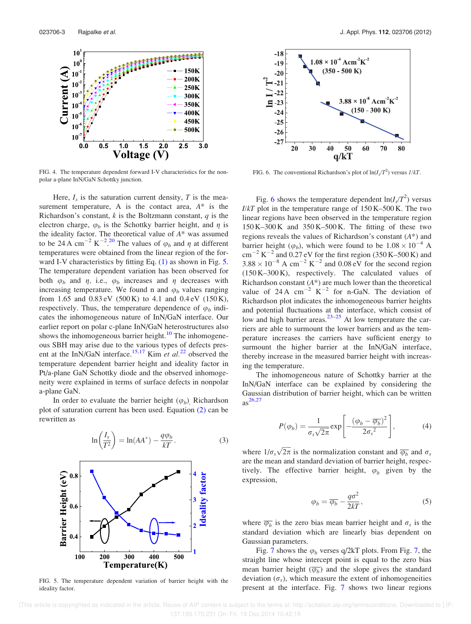

FIG. 4. The temperature dependent forward I-V characteristics for the nonpolar a-plane InN/GaN Schottky junction.

Here,  $I_s$  is the saturation current density, T is the measurement temperature, A is the contact area,  $A^*$  is the Richardson's constant,  $k$  is the Boltzmann constant,  $q$  is the electron charge,  $\varphi_b$  is the Schottky barrier height, and  $\eta$  is the ideality factor. The theoretical value of  $A^*$  was assumed to be 24 A cm<sup>-2</sup> K<sup>-2</sup>.<sup>20</sup> The values of  $\varphi_b$  and  $\eta$  at different temperatures were obtained from the linear region of the forward I-V characteristics by fitting Eq. (1) as shown in Fig. 5. The temperature dependent variation has been observed for both  $\varphi_b$  and  $\eta$ , i.e.,  $\varphi_b$  increases and  $\eta$  decreases with increasing temperature. We found n and  $\varphi_b$  values ranging from 1.65 and  $0.83 \text{ eV}$  (500 K) to 4.1 and  $0.4 \text{ eV}$  (150 K), respectively. Thus, the temperature dependence of  $\varphi_b$  indicates the inhomogeneous nature of InN/GaN interface. Our earlier report on polar c-plane InN/GaN heterostructures also shows the inhomogeneous barrier height.<sup>10</sup> The inhomogeneous SBH may arise due to the various types of defects present at the InN/GaN interface.<sup>15,17</sup> Kim et al.<sup>22</sup> observed the temperature dependent barrier height and ideality factor in Pt/a-plane GaN Schottky diode and the observed inhomogeneity were explained in terms of surface defects in nonpolar a-plane GaN.

In order to evaluate the barrier height  $(\varphi_b)$ , Richardson plot of saturation current has been used. Equation (2) can be rewritten as



FIG. 5. The temperature dependent variation of barrier height with the ideality factor.



FIG. 6. The conventional Richardson's plot of  $\ln(I_s/T^2)$  versus  $I/kT$ .

Fig. 6 shows the temperature dependent  $\ln(I_s/T^2)$  versus  $I/kT$  plot in the temperature range of  $150 K-500 K$ . The two linear regions have been observed in the temperature region  $150 K-300 K$  and  $350 K-500 K$ . The fitting of these two regions reveals the values of Richardson's constant  $(A^*)$  and barrier height ( $\varphi_b$ ), which were found to be  $1.08 \times 10^{-4}$  A  $\text{cm}^{-2} \text{ K}^{-2}$  and 0.27 eV for the first region (350 K–500 K) and  $3.88 \times 10^{-8}$  A cm<sup>-2</sup> K<sup>-2</sup> and 0.08 eV for the second region (150 K–300 K), respectively. The calculated values of Richardson constant  $(A^*)$  are much lower than the theoretical value of 24 A  $cm^{-2}$  K<sup>-2</sup> for n-GaN. The deviation of Richardson plot indicates the inhomogeneous barrier heights and potential fluctuations at the interface, which consist of low and high barrier areas.<sup>23–25</sup> At low temperature the carriers are able to surmount the lower barriers and as the temperature increases the carriers have sufficient energy to surmount the higher barrier at the InN/GaN interface, thereby increase in the measured barrier height with increasing the temperature.

The inhomogeneous nature of Schottky barrier at the InN/GaN interface can be explained by considering the Gaussian distribution of barrier height, which can be written  $as^{26,27}$ 

$$
P(\varphi_b) = \frac{1}{\sigma_s \sqrt{2\pi}} \exp\left[ -\frac{(\varphi_b - \overline{\varphi_b})^2}{2\sigma_s^2} \right],\tag{4}
$$

where  $1/\sigma_s\sqrt{2\pi}$  is the normalization constant and  $\overline{\varphi_b}$  and  $\sigma_s$ are the mean and standard deviation of barrier height, respectively. The effective barrier height,  $\varphi_b$  given by the expression,

$$
\varphi_b = \overline{\varphi_b} - \frac{q\sigma^2}{2kT},\tag{5}
$$

where  $\overline{\varphi_b}$  is the zero bias mean barrier height and  $\sigma_s$  is the standard deviation which are linearly bias dependent on Gaussian parameters.

Fig. 7 shows the  $\varphi_h$  verses q/2kT plots. From Fig. 7, the straight line whose intercept point is equal to the zero bias mean barrier height  $(\overline{\varphi_b})$  and the slope gives the standard deviation  $(\sigma_s)$ , which measure the extent of inhomogeneities present at the interface. Fig. 7 shows two linear regions

 [This article is copyrighted as indicated in the article. Reuse of AIP content is subject to the terms at: http://scitation.aip.org/termsconditions. Downloaded to ] IP: 137.189.170.231 On: Fri, 19 Dec 2014 10:42:18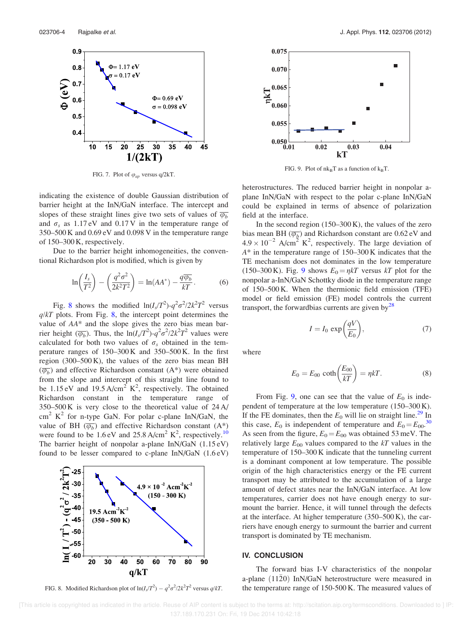

FIG. 7. Plot of  $\varphi_{ap}$  versus q/2kT.

indicating the existence of double Gaussian distribution of barrier height at the InN/GaN interface. The intercept and slopes of these straight lines give two sets of values of  $\overline{\varphi_h}$ and  $\sigma_s$  as 1.17 eV and 0.17 V in the temperature range of 350–500 K and 0.69 eV and 0.098 V in the temperature range of 150–300 K, respectively.

Due to the barrier height inhomogeneities, the conventional Richardson plot is modified, which is given by

$$
\ln\left(\frac{I_s}{T^2}\right) - \left(\frac{q^2\sigma^2}{2k^2T^2}\right) = \ln(AA^*) - \frac{q\overline{\varphi_b}}{kT}.
$$
 (6)

Fig. 8 shows the modified  $ln(I_s/T^2) - q^2 \sigma^2 / 2k^2 T^2$  versus  $q/kT$  plots. From Fig. 8, the intercept point determines the value of AA\* and the slope gives the zero bias mean barrier height  $(\overline{\varphi_b})$ . Thus, the  $\ln(I_s/T^2)$ - $q^2\sigma^2/2k^2T^2$  values were calculated for both two values of  $\sigma_s$  obtained in the temperature ranges of 150–300 K and 350–500 K. In the first region  $(300-500 \text{ K})$ , the values of the zero bias mean BH  $(\overline{\varphi_b})$  and effective Richardson constant (A\*) were obtained from the slope and intercept of this straight line found to be 1.15 eV and 19.5 A/cm<sup>2</sup>  $K^2$ , respectively. The obtained Richardson constant in the temperature range of 350–500 K is very close to the theoretical value of 24 A/  $\text{cm}^2$  K<sup>2</sup> for n-type GaN. For polar c-plane InN/GaN, the value of BH  $(\overline{\varphi_b})$  and effective Richardson constant  $(A^*)$ were found to be  $1.6 \text{ eV}$  and  $25.8 \text{ A/cm}^2 \text{ K}^2$ , respectively.<sup>10</sup> The barrier height of nonpolar a-plane InN/GaN (1.15 eV) found to be lesser compared to c-plane InN/GaN (1.6 eV)



FIG. 8. Modified Richardson plot of  $\ln(I_s/T^2) - q^2 \sigma^2/2k^2 T^2$  versus  $q/kT$ .



FIG. 9. Plot of  $nk_BT$  as a function of  $k_BT$ .

heterostructures. The reduced barrier height in nonpolar aplane InN/GaN with respect to the polar c-plane InN/GaN could be explained in terms of absence of polarization field at the interface.

In the second region  $(150-300 \text{ K})$ , the values of the zero bias mean BH ( $\overline{\varphi_b}$ ) and Richardson constant are 0.62 eV and  $4.9 \times 10^{-2}$  A/cm<sup>2</sup> K<sup>2</sup>, respectively. The large deviation of A\* in the temperature range of 150–300 K indicates that the TE mechanism does not dominates in the low temperature (150–300 K). Fig. 9 shows  $E_0 = \eta kT$  versus kT plot for the nonpolar a-InN/GaN Schottky diode in the temperature range of 150–500 K. When the thermionic field emission (TFE) model or field emission (FE) model controls the current transport, the forwardbias currents are given by $^{28}$ 

$$
I = I_0 \exp\left(\frac{qV}{E_0}\right),\tag{7}
$$

where

$$
E_0 = E_{00} \coth\left(\frac{E_{00}}{kT}\right) = \eta kT. \tag{8}
$$

From Fig. 9, one can see that the value of  $E_0$  is independent of temperature at the low temperature (150–300 K). If the FE dominates, then the  $E_0$  will lie on straight line.<sup>29</sup> In this case,  $E_0$  is independent of temperature and  $E_0 = E_{00}$ .<sup>30</sup> As seen from the figure,  $E_0 = E_{00}$  was obtained 53 meV. The relatively large  $E_{00}$  values compared to the  $kT$  values in the temperature of 150–300 K indicate that the tunneling current is a dominant component at low temperature. The possible origin of the high characteristics energy or the FE current transport may be attributed to the accumulation of a large amount of defect states near the InN/GaN interface. At low temperatures, carrier does not have enough energy to surmount the barrier. Hence, it will tunnel through the defects at the interface. At higher temperature (350–500 K), the carriers have enough energy to surmount the barrier and current transport is dominated by TE mechanism.

#### IV. CONCLUSION

The forward bias I-V characteristics of the nonpolar a-plane  $(11\overline{2}0)$  InN/GaN heterostructure were measured in the temperature range of  $150-500$  K. The measured values of

 [This article is copyrighted as indicated in the article. Reuse of AIP content is subject to the terms at: http://scitation.aip.org/termsconditions. Downloaded to ] IP: 137.189.170.231 On: Fri, 19 Dec 2014 10:42:18